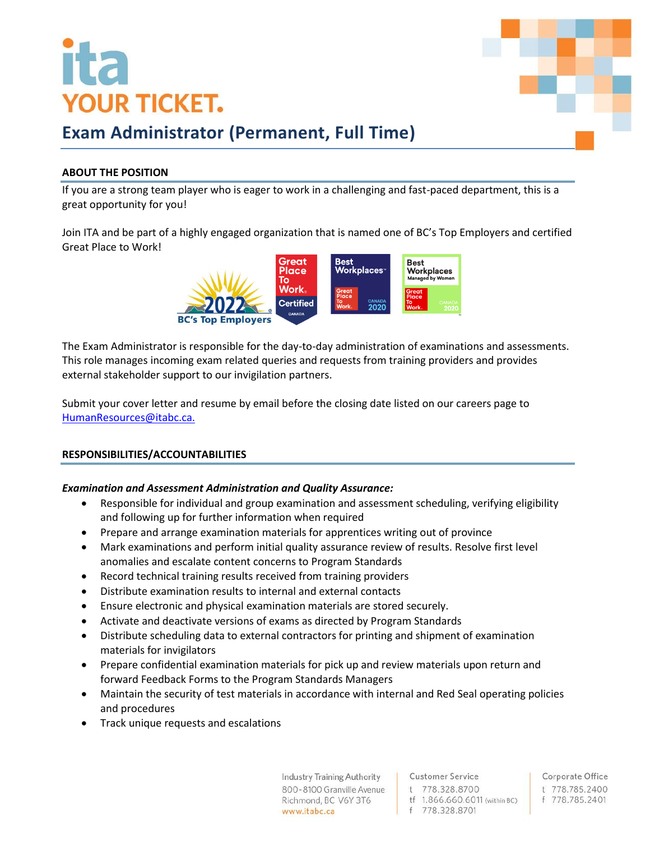# **YOUR TICKET.**



### **Exam Administrator (Permanent, Full Time)**

### **ABOUT THE POSITION**

If you are a strong team player who is eager to work in a challenging and fast-paced department, this is a great opportunity for you!

Join ITA and be part of a highly engaged organization that is named one of BC's Top Employers and certified Great Place to Work!



The Exam Administrator is responsible for the day-to-day administration of examinations and assessments. This role manages incoming exam related queries and requests from training providers and provides external stakeholder support to our invigilation partners.

Submit your cover letter and resume by email before the closing date listed on our careers page to [HumanResources@itabc.ca.](mailto:HumanResources@itabc.ca)

### **RESPONSIBILITIES/ACCOUNTABILITIES**

### *Examination and Assessment Administration and Quality Assurance:*

- Responsible for individual and group examination and assessment scheduling, verifying eligibility and following up for further information when required
- Prepare and arrange examination materials for apprentices writing out of province
- Mark examinations and perform initial quality assurance review of results. Resolve first level anomalies and escalate content concerns to Program Standards
- Record technical training results received from training providers
- Distribute examination results to internal and external contacts
- Ensure electronic and physical examination materials are stored securely.
- Activate and deactivate versions of exams as directed by Program Standards
- Distribute scheduling data to external contractors for printing and shipment of examination materials for invigilators
- Prepare confidential examination materials for pick up and review materials upon return and forward Feedback Forms to the Program Standards Managers
- Maintain the security of test materials in accordance with internal and Red Seal operating policies and procedures
- Track unique requests and escalations

**Industry Training Authority** 800-8100 Granville Avenue Richmond, BC V6Y 3T6 www.itabc.ca

**Customer Service** t 778.328.8700

- tf 1.866.660.6011 (within BC)
- f 778 328 8701

Corporate Office t 778.785.2400 f 778.785.2401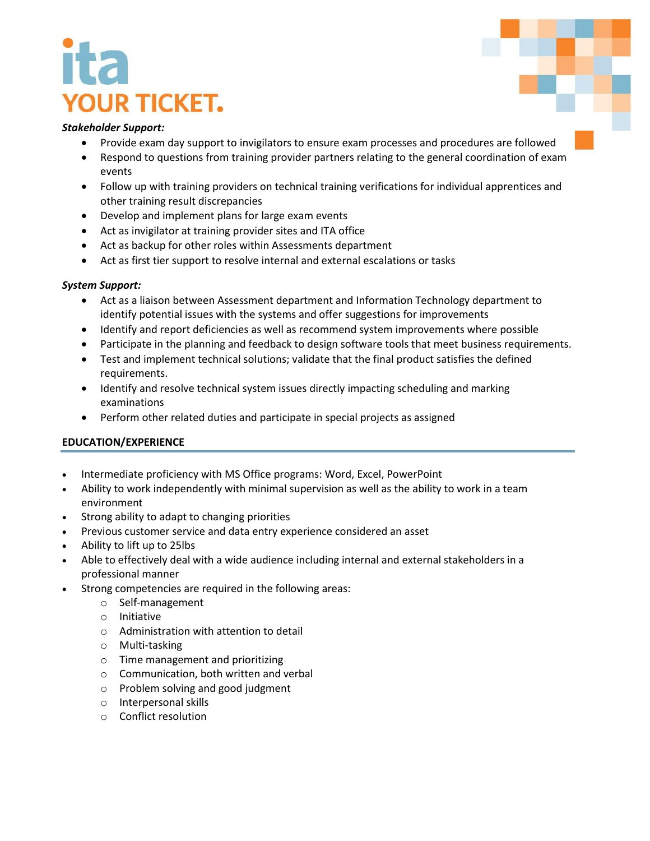## **YOUR TICKET.**

### *Stakeholder Support:*

- Provide exam day support to invigilators to ensure exam processes and procedures are followed
- Respond to questions from training provider partners relating to the general coordination of exam events
- Follow up with training providers on technical training verifications for individual apprentices and other training result discrepancies
- Develop and implement plans for large exam events
- Act as invigilator at training provider sites and ITA office
- Act as backup for other roles within Assessments department
- Act as first tier support to resolve internal and external escalations or tasks

### *System Support:*

- Act as a liaison between Assessment department and Information Technology department to identify potential issues with the systems and offer suggestions for improvements
- Identify and report deficiencies as well as recommend system improvements where possible
- Participate in the planning and feedback to design software tools that meet business requirements.
- Test and implement technical solutions; validate that the final product satisfies the defined requirements.
- Identify and resolve technical system issues directly impacting scheduling and marking examinations
- Perform other related duties and participate in special projects as assigned

### **EDUCATION/EXPERIENCE**

- Intermediate proficiency with MS Office programs: Word, Excel, PowerPoint
- Ability to work independently with minimal supervision as well as the ability to work in a team environment
- Strong ability to adapt to changing priorities
- Previous customer service and data entry experience considered an asset
- Ability to lift up to 25lbs
- Able to effectively deal with a wide audience including internal and external stakeholders in a professional manner
- Strong competencies are required in the following areas:
	- o Self-management
	- o Initiative
	- o Administration with attention to detail
	- o Multi-tasking
	- o Time management and prioritizing
	- o Communication, both written and verbal
	- o Problem solving and good judgment
	- o Interpersonal skills
	- o Conflict resolution